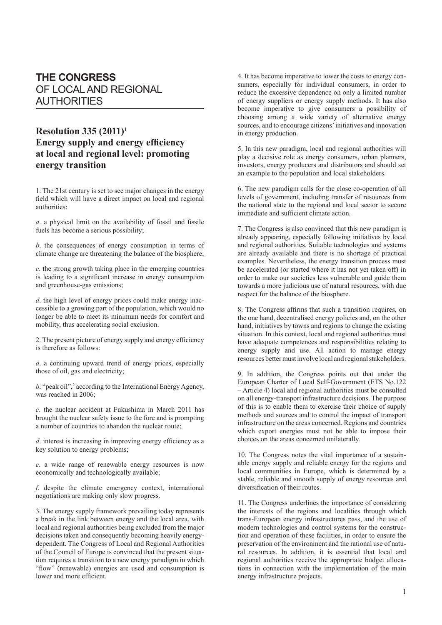## **THE CONGRESS** OF LOCAL AND REGIONAL AUTHORITIES

## **Resolution 335 (2011)1 Energy supply and energy efficiency at local and regional level: promoting energy transition**

1. The 21st century is set to see major changes in the energy field which will have a direct impact on local and regional authorities:

*a*. a physical limit on the availability of fossil and fissile fuels has become a serious possibility;

*b*. the consequences of energy consumption in terms of climate change are threatening the balance of the biosphere;

*c*. the strong growth taking place in the emerging countries is leading to a significant increase in energy consumption and greenhouse-gas emissions;

*d*. the high level of energy prices could make energy inaccessible to a growing part of the population, which would no longer be able to meet its minimum needs for comfort and mobility, thus accelerating social exclusion.

2. The present picture of energy supply and energy efficiency is therefore as follows:

*a*. a continuing upward trend of energy prices, especially those of oil, gas and electricity;

b. "peak oil",<sup>2</sup> according to the International Energy Agency, was reached in 2006;

*c*. the nuclear accident at Fukushima in March 2011 has brought the nuclear safety issue to the fore and is prompting a number of countries to abandon the nuclear route;

*d*. interest is increasing in improving energy efficiency as a key solution to energy problems;

*e*. a wide range of renewable energy resources is now economically and technologically available;

*f*. despite the climate emergency context, international negotiations are making only slow progress.

3. The energy supply framework prevailing today represents a break in the link between energy and the local area, with local and regional authorities being excluded from the major decisions taken and consequently becoming heavily energydependent. The Congress of Local and Regional Authorities of the Council of Europe is convinced that the present situation requires a transition to a new energy paradigm in which "flow" (renewable) energies are used and consumption is lower and more efficient.

4. It has become imperative to lower the costs to energy consumers, especially for individual consumers, in order to reduce the excessive dependence on only a limited number of energy suppliers or energy supply methods. It has also become imperative to give consumers a possibility of choosing among a wide variety of alternative energy sources, and to encourage citizens' initiatives and innovation in energy production.

5. In this new paradigm, local and regional authorities will play a decisive role as energy consumers, urban planners, investors, energy producers and distributors and should set an example to the population and local stakeholders.

6. The new paradigm calls for the close co-operation of all levels of government, including transfer of resources from the national state to the regional and local sector to secure immediate and sufficient climate action.

7. The Congress is also convinced that this new paradigm is already appearing, especially following initiatives by local and regional authorities. Suitable technologies and systems are already available and there is no shortage of practical examples. Nevertheless, the energy transition process must be accelerated (or started where it has not yet taken off) in order to make our societies less vulnerable and guide them towards a more judicious use of natural resources, with due respect for the balance of the biosphere.

8. The Congress affirms that such a transition requires, on the one hand, decentralised energy policies and, on the other hand, initiatives by towns and regions to change the existing situation. In this context, local and regional authorities must have adequate competences and responsibilities relating to energy supply and use. All action to manage energy resources better must involve local and regional stakeholders.

9. In addition, the Congress points out that under the European Charter of Local Self-Government (ETS No.122 – Article 4) local and regional authorities must be consulted on all energy-transport infrastructure decisions. The purpose of this is to enable them to exercise their choice of supply methods and sources and to control the impact of transport infrastructure on the areas concerned. Regions and countries which export energies must not be able to impose their choices on the areas concerned unilaterally.

10. The Congress notes the vital importance of a sustainable energy supply and reliable energy for the regions and local communities in Europe, which is determined by a stable, reliable and smooth supply of energy resources and diversification of their routes.

11. The Congress underlines the importance of considering the interests of the regions and localities through which trans-European energy infrastructures pass, and the use of modern technologies and control systems for the construction and operation of these facilities, in order to ensure the preservation of the environment and the rational use of natural resources. In addition, it is essential that local and regional authorities receive the appropriate budget allocations in connection with the implementation of the main energy infrastructure projects.